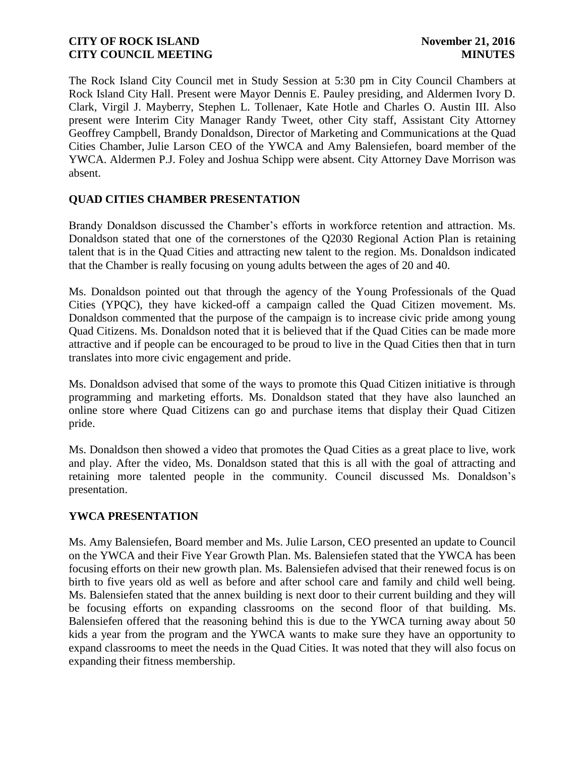The Rock Island City Council met in Study Session at 5:30 pm in City Council Chambers at Rock Island City Hall. Present were Mayor Dennis E. Pauley presiding, and Aldermen Ivory D. Clark, Virgil J. Mayberry, Stephen L. Tollenaer, Kate Hotle and Charles O. Austin III. Also present were Interim City Manager Randy Tweet, other City staff, Assistant City Attorney Geoffrey Campbell, Brandy Donaldson, Director of Marketing and Communications at the Quad Cities Chamber, Julie Larson CEO of the YWCA and Amy Balensiefen, board member of the YWCA. Aldermen P.J. Foley and Joshua Schipp were absent. City Attorney Dave Morrison was absent.

# **QUAD CITIES CHAMBER PRESENTATION**

Brandy Donaldson discussed the Chamber's efforts in workforce retention and attraction. Ms. Donaldson stated that one of the cornerstones of the Q2030 Regional Action Plan is retaining talent that is in the Quad Cities and attracting new talent to the region. Ms. Donaldson indicated that the Chamber is really focusing on young adults between the ages of 20 and 40.

Ms. Donaldson pointed out that through the agency of the Young Professionals of the Quad Cities (YPQC), they have kicked-off a campaign called the Quad Citizen movement. Ms. Donaldson commented that the purpose of the campaign is to increase civic pride among young Quad Citizens. Ms. Donaldson noted that it is believed that if the Quad Cities can be made more attractive and if people can be encouraged to be proud to live in the Quad Cities then that in turn translates into more civic engagement and pride.

Ms. Donaldson advised that some of the ways to promote this Quad Citizen initiative is through programming and marketing efforts. Ms. Donaldson stated that they have also launched an online store where Quad Citizens can go and purchase items that display their Quad Citizen pride.

Ms. Donaldson then showed a video that promotes the Quad Cities as a great place to live, work and play. After the video, Ms. Donaldson stated that this is all with the goal of attracting and retaining more talented people in the community. Council discussed Ms. Donaldson's presentation.

# **YWCA PRESENTATION**

Ms. Amy Balensiefen, Board member and Ms. Julie Larson, CEO presented an update to Council on the YWCA and their Five Year Growth Plan. Ms. Balensiefen stated that the YWCA has been focusing efforts on their new growth plan. Ms. Balensiefen advised that their renewed focus is on birth to five years old as well as before and after school care and family and child well being. Ms. Balensiefen stated that the annex building is next door to their current building and they will be focusing efforts on expanding classrooms on the second floor of that building. Ms. Balensiefen offered that the reasoning behind this is due to the YWCA turning away about 50 kids a year from the program and the YWCA wants to make sure they have an opportunity to expand classrooms to meet the needs in the Quad Cities. It was noted that they will also focus on expanding their fitness membership.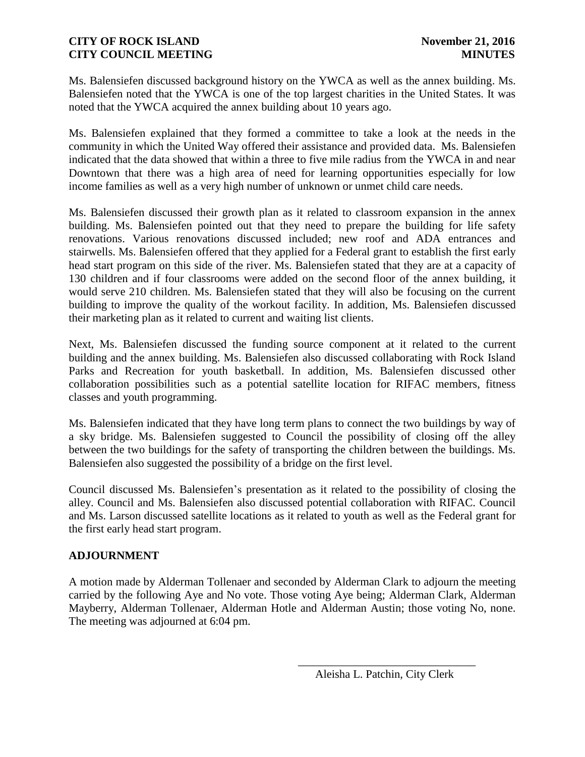Ms. Balensiefen discussed background history on the YWCA as well as the annex building. Ms. Balensiefen noted that the YWCA is one of the top largest charities in the United States. It was noted that the YWCA acquired the annex building about 10 years ago.

Ms. Balensiefen explained that they formed a committee to take a look at the needs in the community in which the United Way offered their assistance and provided data. Ms. Balensiefen indicated that the data showed that within a three to five mile radius from the YWCA in and near Downtown that there was a high area of need for learning opportunities especially for low income families as well as a very high number of unknown or unmet child care needs.

Ms. Balensiefen discussed their growth plan as it related to classroom expansion in the annex building. Ms. Balensiefen pointed out that they need to prepare the building for life safety renovations. Various renovations discussed included; new roof and ADA entrances and stairwells. Ms. Balensiefen offered that they applied for a Federal grant to establish the first early head start program on this side of the river. Ms. Balensiefen stated that they are at a capacity of 130 children and if four classrooms were added on the second floor of the annex building, it would serve 210 children. Ms. Balensiefen stated that they will also be focusing on the current building to improve the quality of the workout facility. In addition, Ms. Balensiefen discussed their marketing plan as it related to current and waiting list clients.

Next, Ms. Balensiefen discussed the funding source component at it related to the current building and the annex building. Ms. Balensiefen also discussed collaborating with Rock Island Parks and Recreation for youth basketball. In addition, Ms. Balensiefen discussed other collaboration possibilities such as a potential satellite location for RIFAC members, fitness classes and youth programming.

Ms. Balensiefen indicated that they have long term plans to connect the two buildings by way of a sky bridge. Ms. Balensiefen suggested to Council the possibility of closing off the alley between the two buildings for the safety of transporting the children between the buildings. Ms. Balensiefen also suggested the possibility of a bridge on the first level.

Council discussed Ms. Balensiefen's presentation as it related to the possibility of closing the alley. Council and Ms. Balensiefen also discussed potential collaboration with RIFAC. Council and Ms. Larson discussed satellite locations as it related to youth as well as the Federal grant for the first early head start program.

# **ADJOURNMENT**

A motion made by Alderman Tollenaer and seconded by Alderman Clark to adjourn the meeting carried by the following Aye and No vote. Those voting Aye being; Alderman Clark, Alderman Mayberry, Alderman Tollenaer, Alderman Hotle and Alderman Austin; those voting No, none. The meeting was adjourned at 6:04 pm.

 $\overline{\phantom{a}}$  , and the contract of the contract of the contract of the contract of the contract of the contract of the contract of the contract of the contract of the contract of the contract of the contract of the contrac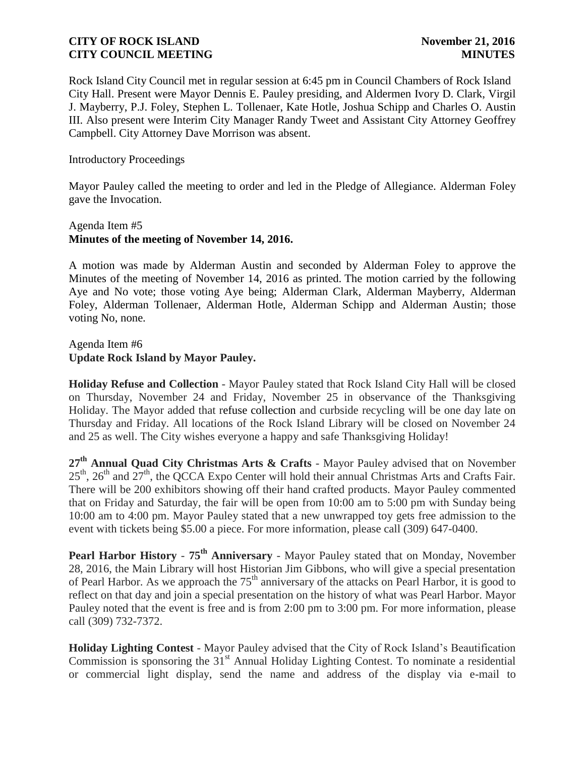Rock Island City Council met in regular session at 6:45 pm in Council Chambers of Rock Island City Hall. Present were Mayor Dennis E. Pauley presiding, and Aldermen Ivory D. Clark, Virgil J. Mayberry, P.J. Foley, Stephen L. Tollenaer, Kate Hotle, Joshua Schipp and Charles O. Austin III. Also present were Interim City Manager Randy Tweet and Assistant City Attorney Geoffrey Campbell. City Attorney Dave Morrison was absent.

Introductory Proceedings

Mayor Pauley called the meeting to order and led in the Pledge of Allegiance. Alderman Foley gave the Invocation.

## Agenda Item #5 **Minutes of the meeting of November 14, 2016.**

A motion was made by Alderman Austin and seconded by Alderman Foley to approve the Minutes of the meeting of November 14, 2016 as printed. The motion carried by the following Aye and No vote; those voting Aye being; Alderman Clark, Alderman Mayberry, Alderman Foley, Alderman Tollenaer, Alderman Hotle, Alderman Schipp and Alderman Austin; those voting No, none.

Agenda Item #6 **Update Rock Island by Mayor Pauley.** 

**Holiday Refuse and Collection** - Mayor Pauley stated that Rock Island City Hall will be closed on Thursday, November 24 and Friday, November 25 in observance of the Thanksgiving Holiday. The Mayor added that refuse collection and curbside recycling will be one day late on Thursday and Friday. All locations of the Rock Island Library will be closed on November 24 and 25 as well. The City wishes everyone a happy and safe Thanksgiving Holiday!

**27th Annual Quad City Christmas Arts & Crafts** - Mayor Pauley advised that on November  $25<sup>th</sup>$ ,  $26<sup>th</sup>$  and  $27<sup>th</sup>$ , the QCCA Expo Center will hold their annual Christmas Arts and Crafts Fair. There will be 200 exhibitors showing off their hand crafted products. Mayor Pauley commented that on Friday and Saturday, the fair will be open from 10:00 am to 5:00 pm with Sunday being 10:00 am to 4:00 pm. Mayor Pauley stated that a new unwrapped toy gets free admission to the event with tickets being \$5.00 a piece. For more information, please call (309) 647-0400.

**Pearl Harbor History** - **75th Anniversary** - Mayor Pauley stated that on Monday, November 28, 2016, the Main Library will host Historian Jim Gibbons, who will give a special presentation of Pearl Harbor. As we approach the 75<sup>th</sup> anniversary of the attacks on Pearl Harbor, it is good to reflect on that day and join a special presentation on the history of what was Pearl Harbor. Mayor Pauley noted that the event is free and is from 2:00 pm to 3:00 pm. For more information, please call (309) 732-7372.

**Holiday Lighting Contest** - Mayor Pauley advised that the City of Rock Island's Beautification Commission is sponsoring the  $31<sup>st</sup>$  Annual Holiday Lighting Contest. To nominate a residential or commercial light display, send the name and address of the display via e-mail to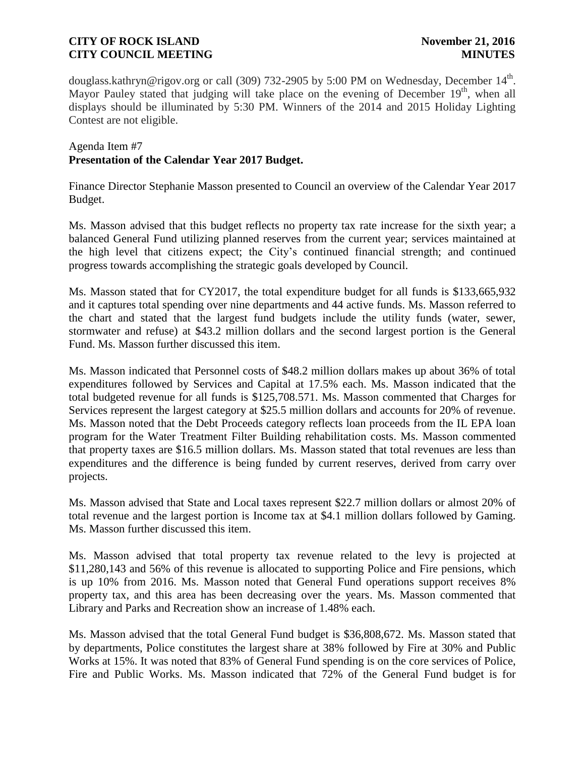douglass.kathryn@rigov.org or call (309) 732-2905 by 5:00 PM on Wednesday, December 14<sup>th</sup>. Mayor Pauley stated that judging will take place on the evening of December 19<sup>th</sup>, when all displays should be illuminated by 5:30 PM. Winners of the 2014 and 2015 Holiday Lighting Contest are not eligible.

#### Agenda Item #7 **Presentation of the Calendar Year 2017 Budget.**

Finance Director Stephanie Masson presented to Council an overview of the Calendar Year 2017 Budget.

Ms. Masson advised that this budget reflects no property tax rate increase for the sixth year; a balanced General Fund utilizing planned reserves from the current year; services maintained at the high level that citizens expect; the City's continued financial strength; and continued progress towards accomplishing the strategic goals developed by Council.

Ms. Masson stated that for CY2017, the total expenditure budget for all funds is \$133,665,932 and it captures total spending over nine departments and 44 active funds. Ms. Masson referred to the chart and stated that the largest fund budgets include the utility funds (water, sewer, stormwater and refuse) at \$43.2 million dollars and the second largest portion is the General Fund. Ms. Masson further discussed this item.

Ms. Masson indicated that Personnel costs of \$48.2 million dollars makes up about 36% of total expenditures followed by Services and Capital at 17.5% each. Ms. Masson indicated that the total budgeted revenue for all funds is \$125,708.571. Ms. Masson commented that Charges for Services represent the largest category at \$25.5 million dollars and accounts for 20% of revenue. Ms. Masson noted that the Debt Proceeds category reflects loan proceeds from the IL EPA loan program for the Water Treatment Filter Building rehabilitation costs. Ms. Masson commented that property taxes are \$16.5 million dollars. Ms. Masson stated that total revenues are less than expenditures and the difference is being funded by current reserves, derived from carry over projects.

Ms. Masson advised that State and Local taxes represent \$22.7 million dollars or almost 20% of total revenue and the largest portion is Income tax at \$4.1 million dollars followed by Gaming. Ms. Masson further discussed this item.

Ms. Masson advised that total property tax revenue related to the levy is projected at \$11,280,143 and 56% of this revenue is allocated to supporting Police and Fire pensions, which is up 10% from 2016. Ms. Masson noted that General Fund operations support receives 8% property tax, and this area has been decreasing over the years. Ms. Masson commented that Library and Parks and Recreation show an increase of 1.48% each.

Ms. Masson advised that the total General Fund budget is \$36,808,672. Ms. Masson stated that by departments, Police constitutes the largest share at 38% followed by Fire at 30% and Public Works at 15%. It was noted that 83% of General Fund spending is on the core services of Police, Fire and Public Works. Ms. Masson indicated that 72% of the General Fund budget is for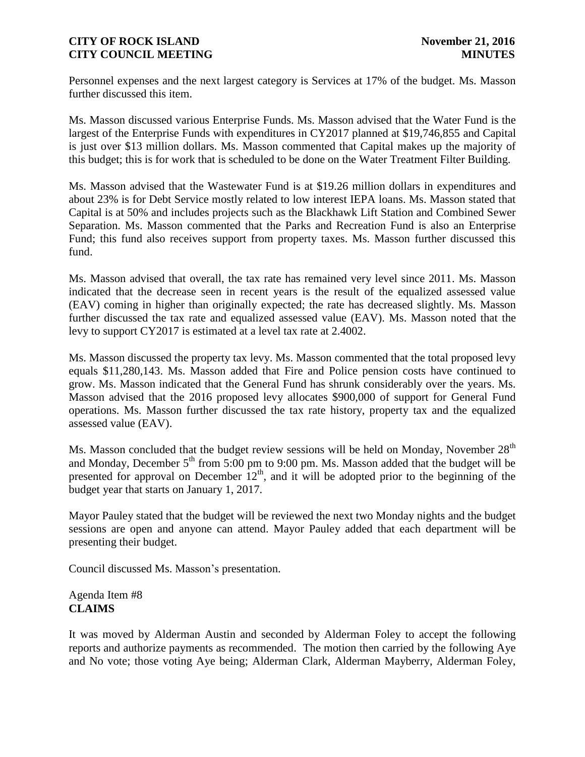Personnel expenses and the next largest category is Services at 17% of the budget. Ms. Masson further discussed this item.

Ms. Masson discussed various Enterprise Funds. Ms. Masson advised that the Water Fund is the largest of the Enterprise Funds with expenditures in CY2017 planned at \$19,746,855 and Capital is just over \$13 million dollars. Ms. Masson commented that Capital makes up the majority of this budget; this is for work that is scheduled to be done on the Water Treatment Filter Building.

Ms. Masson advised that the Wastewater Fund is at \$19.26 million dollars in expenditures and about 23% is for Debt Service mostly related to low interest IEPA loans. Ms. Masson stated that Capital is at 50% and includes projects such as the Blackhawk Lift Station and Combined Sewer Separation. Ms. Masson commented that the Parks and Recreation Fund is also an Enterprise Fund; this fund also receives support from property taxes. Ms. Masson further discussed this fund.

Ms. Masson advised that overall, the tax rate has remained very level since 2011. Ms. Masson indicated that the decrease seen in recent years is the result of the equalized assessed value (EAV) coming in higher than originally expected; the rate has decreased slightly. Ms. Masson further discussed the tax rate and equalized assessed value (EAV). Ms. Masson noted that the levy to support CY2017 is estimated at a level tax rate at 2.4002.

Ms. Masson discussed the property tax levy. Ms. Masson commented that the total proposed levy equals \$11,280,143. Ms. Masson added that Fire and Police pension costs have continued to grow. Ms. Masson indicated that the General Fund has shrunk considerably over the years. Ms. Masson advised that the 2016 proposed levy allocates \$900,000 of support for General Fund operations. Ms. Masson further discussed the tax rate history, property tax and the equalized assessed value (EAV).

Ms. Masson concluded that the budget review sessions will be held on Monday, November 28<sup>th</sup> and Monday, December  $5<sup>th</sup>$  from 5:00 pm to 9:00 pm. Ms. Masson added that the budget will be presented for approval on December  $12<sup>th</sup>$ , and it will be adopted prior to the beginning of the budget year that starts on January 1, 2017.

Mayor Pauley stated that the budget will be reviewed the next two Monday nights and the budget sessions are open and anyone can attend. Mayor Pauley added that each department will be presenting their budget.

Council discussed Ms. Masson's presentation.

Agenda Item #8 **CLAIMS**

It was moved by Alderman Austin and seconded by Alderman Foley to accept the following reports and authorize payments as recommended. The motion then carried by the following Aye and No vote; those voting Aye being; Alderman Clark, Alderman Mayberry, Alderman Foley,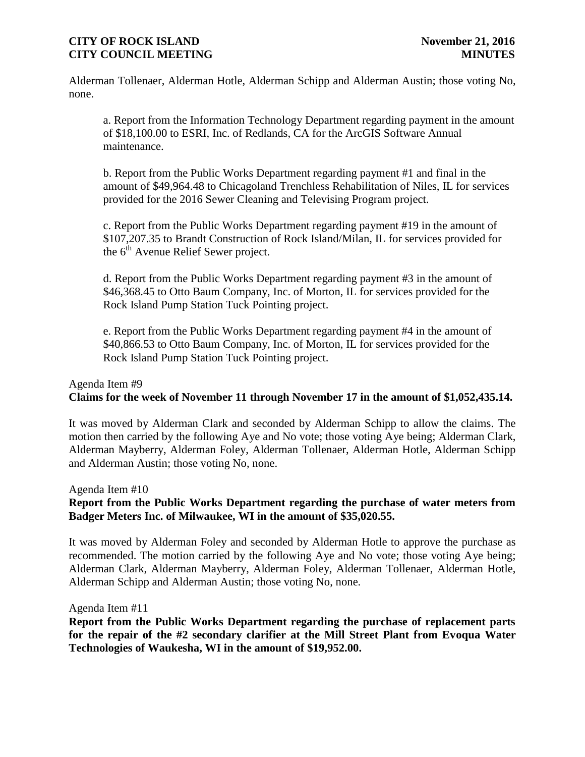Alderman Tollenaer, Alderman Hotle, Alderman Schipp and Alderman Austin; those voting No, none.

a. Report from the Information Technology Department regarding payment in the amount of \$18,100.00 to ESRI, Inc. of Redlands, CA for the ArcGIS Software Annual maintenance.

b. Report from the Public Works Department regarding payment #1 and final in the amount of \$49,964.48 to Chicagoland Trenchless Rehabilitation of Niles, IL for services provided for the 2016 Sewer Cleaning and Televising Program project.

c. Report from the Public Works Department regarding payment #19 in the amount of \$107,207.35 to Brandt Construction of Rock Island/Milan, IL for services provided for the  $6<sup>th</sup>$  Avenue Relief Sewer project.

d. Report from the Public Works Department regarding payment #3 in the amount of \$46,368.45 to Otto Baum Company, Inc. of Morton, IL for services provided for the Rock Island Pump Station Tuck Pointing project.

e. Report from the Public Works Department regarding payment #4 in the amount of \$40,866.53 to Otto Baum Company, Inc. of Morton, IL for services provided for the Rock Island Pump Station Tuck Pointing project.

#### Agenda Item #9 **Claims for the week of November 11 through November 17 in the amount of \$1,052,435.14.**

It was moved by Alderman Clark and seconded by Alderman Schipp to allow the claims. The motion then carried by the following Aye and No vote; those voting Aye being; Alderman Clark, Alderman Mayberry, Alderman Foley, Alderman Tollenaer, Alderman Hotle, Alderman Schipp and Alderman Austin; those voting No, none.

Agenda Item #10

## **Report from the Public Works Department regarding the purchase of water meters from Badger Meters Inc. of Milwaukee, WI in the amount of \$35,020.55.**

It was moved by Alderman Foley and seconded by Alderman Hotle to approve the purchase as recommended. The motion carried by the following Aye and No vote; those voting Aye being; Alderman Clark, Alderman Mayberry, Alderman Foley, Alderman Tollenaer, Alderman Hotle, Alderman Schipp and Alderman Austin; those voting No, none.

Agenda Item #11

**Report from the Public Works Department regarding the purchase of replacement parts for the repair of the #2 secondary clarifier at the Mill Street Plant from Evoqua Water Technologies of Waukesha, WI in the amount of \$19,952.00.**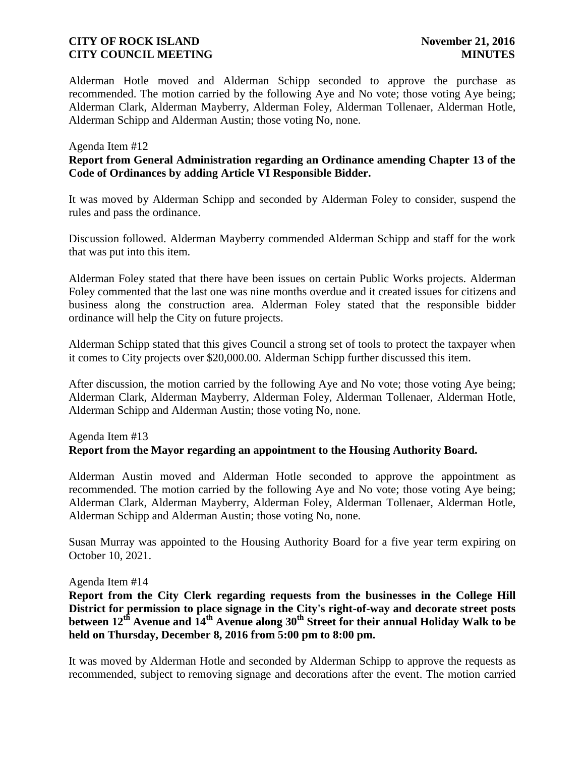Alderman Hotle moved and Alderman Schipp seconded to approve the purchase as recommended. The motion carried by the following Aye and No vote; those voting Aye being; Alderman Clark, Alderman Mayberry, Alderman Foley, Alderman Tollenaer, Alderman Hotle, Alderman Schipp and Alderman Austin; those voting No, none.

#### Agenda Item #12

## **Report from General Administration regarding an Ordinance amending Chapter 13 of the Code of Ordinances by adding Article VI Responsible Bidder.**

It was moved by Alderman Schipp and seconded by Alderman Foley to consider, suspend the rules and pass the ordinance.

Discussion followed. Alderman Mayberry commended Alderman Schipp and staff for the work that was put into this item.

Alderman Foley stated that there have been issues on certain Public Works projects. Alderman Foley commented that the last one was nine months overdue and it created issues for citizens and business along the construction area. Alderman Foley stated that the responsible bidder ordinance will help the City on future projects.

Alderman Schipp stated that this gives Council a strong set of tools to protect the taxpayer when it comes to City projects over \$20,000.00. Alderman Schipp further discussed this item.

After discussion, the motion carried by the following Aye and No vote; those voting Aye being; Alderman Clark, Alderman Mayberry, Alderman Foley, Alderman Tollenaer, Alderman Hotle, Alderman Schipp and Alderman Austin; those voting No, none.

# Agenda Item #13 **Report from the Mayor regarding an appointment to the Housing Authority Board.**

Alderman Austin moved and Alderman Hotle seconded to approve the appointment as recommended. The motion carried by the following Aye and No vote; those voting Aye being; Alderman Clark, Alderman Mayberry, Alderman Foley, Alderman Tollenaer, Alderman Hotle, Alderman Schipp and Alderman Austin; those voting No, none.

Susan Murray was appointed to the Housing Authority Board for a five year term expiring on October 10, 2021.

#### Agenda Item #14

**Report from the City Clerk regarding requests from the businesses in the College Hill District for permission to place signage in the City's right-of-way and decorate street posts between 12th Avenue and 14th Avenue along 30th Street for their annual Holiday Walk to be held on Thursday, December 8, 2016 from 5:00 pm to 8:00 pm.**

It was moved by Alderman Hotle and seconded by Alderman Schipp to approve the requests as recommended, subject to removing signage and decorations after the event. The motion carried